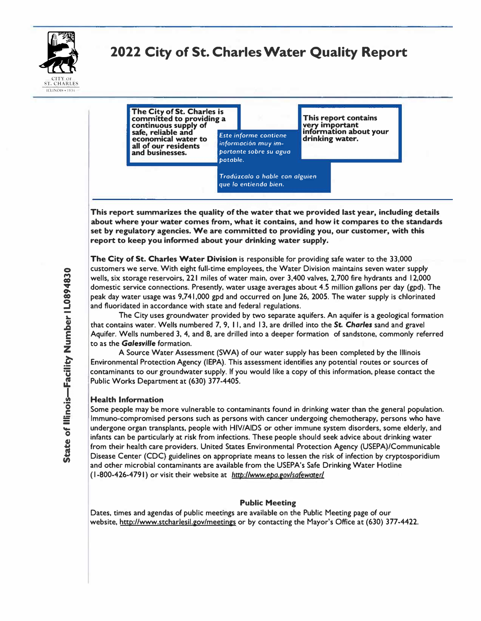

# **2022 City of St. Charles Water Quality Report**



**This report summarizes the quality of the water that we provided last year, including details about where your water comes from, what it contains, and how it compares to the standards set by regulatory agencies. We are committed to providing you, our customer, with this report to keep you informed about your drinking water supply.** 

**The City of St. Charles Water Division is responsible for providing safe water to the 33,000 customers we serve. With eight full-time employees, the Water Division maintains seven water supply wells, six storage reservoirs, 221 miles of water main, over 3,400 valves, 2,700 fire hydrants and 12,000 domestic service connections. Presently, water usage averages about 4.S million gallons per day (gpd). The peak day water usage was 9,741,000 gpd and occurred on June 26, 200S. The water supply is chlorinated and fluoridated in accordance with state and federal regulations .** 

**The City uses groundwater provided by two separate aquifers. An aquifer is a geological formation that contains water. Wells numbered 7, 9, I I, and 13, are drilled into the St.** *Charles* **sand and gravel Aquifer. Wells numbered 3, 4, and 8, are drilled into a deeper formation of sandstone, commonly referred to as the** *Galesville* **formation.** 

**A Source Water Assessment (SWA) of our water supply has been completed by the Illinois Environmental Protection Agency (IEPA). This assessment identifies any potential routes or sources of contaminants to our groundwater supply. If you would like a copy of this information, please contact the Public Works Department at (630) 377-4405.** 

#### **Health Information**

**Some people may be more vulnerable to contaminants found in drinking water than the general population. lmmuno-compromised persons such as persons with cancer undergoing chemotherapy, persons who have undergone organ transplants, people with HIV/AIDS or other immune system disorders, some elderly, and infants can be particularly at risk from infections. These people should seek advice about drinking water from their health care providers. United States Environmental Protection Agency (USEPA)/Communicable Disease Center (CDC) guidelines on appropriate means to lessen the risk of infection by cryptosporidium and other microbial contaminants are available from the USEPA's Safe Drinking Water Hotline ( 1-800-426-4791) or visit their website at** *http://www.epa.e,ovlsa(ewat.er /* 

#### **Public Meeting**

**Dates, times and agendas of public meetings are available on the Public Meeting page of our website, http://www.stcharlesil.gov/meetings or by contacting the Mayor's Office at (630) 377-4422.**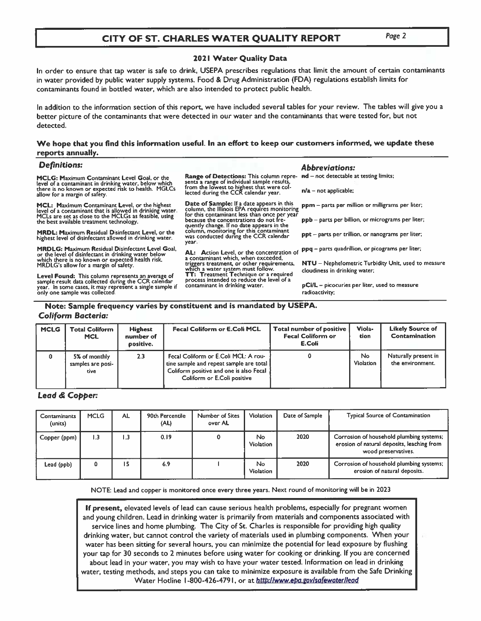### CITY OF ST. CHARLES WATER QUALITY REPORT

#### Page 2

#### 2021 Water Quality Data

In order to ensure that tap water is safe to drink, USEPA prescribes regulations that limit the amount of certain contaminants in water provided by public water supply systems. Food & Drug Administration (FDA) regulations establish limits for contaminants found in bottled water, which are also intended to protect public health.

In addition to the information section of this report, we have included several tables for your review. The tables will give you a better picture of the contaminants that were detected in our water and the contaminants that were tested for, but not detected.

#### We hope that you find this information useful. In an effort to keep our customers informed, we update these reports annually.

#### **Definitions:**

MCLG: Maximum Contaminant Level Goal, or the fevel of a contaminant in drinking water, below which<br>there is no known or expected risk to health. MGLCs allow for a margin of safety.

MCL: Maximum Contaminant Level, or the highest The light of a contaminant that is allowed in drinking water.<br>MCLs are set as close to the MCLGs as feasible, using<br>the best available treatment technology.

**MRDL: Maximum Residual Disinfectant Level, or the** highest level of disinfectant allowed in drinking water.

**MRDLG: Maximum Residual Disinfectant Level Goal,** Final property of the level of disinfectant in drinking water below<br>which there is no known or expected health risk.<br>MRDLG's allow for a margin of safety.

Level Found: This column represents an average of<br>sample result data collected during the CCR calendar year. In some cases, it may represent a single sample if<br>only one sample was collected.

Range of Detections: This column repre-Figure 3 range of individual sample results,<br>from the lowest to highest that were collected during the CCR calendar year.

Date of Sample: If a date appears in this ppm - parts per million or milligrams per liter;<br>column, the Illinois EPA requires monitoring ppm - parts per million or milligrams per liter; for this contaminant less than once per yea because the concentrations do not frequently change. If no date appears in the column, monitoring for this contaminant<br>was conducted during the CCR calendar year.

AL: Action Level, or the concentration of a contaminant which, when exceeded, triggers treatment, or other requirements, which a water system must follow.<br>TT: Treatment Technique or a required<br>process intended to reduce the level of a contaminant in drinking water.

nd - not detectable at testing limits;

**Abbreviations:** 

 $n/a$  – not applicable;

ppb - parts per billion, or micrograms per liter;

ppt - parts per trillion, or nanograms per liter;

ppq - parts quadrillion, or picograms per liter;

NTU - Nephelometric Turbidity Unit, used to measure cloudiness in drinking water;

pCi/L - picocuries per liter, used to measure radioactivity:

### Note: Sample frequency varies by constituent and is mandated by USEPA. **Coliform Bacteria:**

| <b>MCLG</b> | <b>Total Coliform</b><br><b>MCL</b>        | <b>Highest</b><br>number of<br>positive. | Fecal Coliform or E.Coli MCL                                                                                                                              | Total number of positive<br><b>Fecal Coliform or</b><br>E.Coli | Viola-<br>tion          | <b>Likely Source of</b><br>Contamination |
|-------------|--------------------------------------------|------------------------------------------|-----------------------------------------------------------------------------------------------------------------------------------------------------------|----------------------------------------------------------------|-------------------------|------------------------------------------|
| 0           | 5% of monthly<br>samples are posi-<br>tive | 2.3                                      | Fecal Coliform or E.Coli MCL: A rou-<br>tine sample and repeat sample are total<br>Coliform positive and one is also Fecal<br>Coliform or E.Coli positive |                                                                | No.<br><b>Violation</b> | Naturally present in<br>the environment. |

#### Lead & Copper:

| Contaminants<br>(units) | <b>MCLG</b> | <b>AL</b> | 90th Percentile<br>(AL) | Number of Sites<br>over AL | <b>Violation</b>       | Date of Sample | <b>Typical Source of Contamination</b>                                                                        |
|-------------------------|-------------|-----------|-------------------------|----------------------------|------------------------|----------------|---------------------------------------------------------------------------------------------------------------|
| Copper (ppm)            | 3. ا        | 3. ا      | 0.19                    |                            | No<br><b>Violation</b> | 2020           | Corrosion of household plumbing systems;<br>erosion of natural deposits, leaching from<br>wood preservatives. |
| Lead (ppb)              | 0           | ١S        | 6.9                     |                            | No<br>Violation        | 2020           | Corrosion of household plumbing systems;<br>erosion of natural deposits.                                      |

NOTE: Lead and copper is monitored once every three years. Next round of monitoring will be in 2023

If present, elevated levels of lead can cause serious health problems, especially for pregnant women and young children. Lead in drinking water is primarily from materials and components associated with service lines and home plumbing. The City of St. Charles is responsible for providing high quality drinking water, but cannot control the variety of materials used in plumbing components. When your water has been sitting for several hours, you can minimize the potential for lead exposure by flushing your tap for 30 seconds to 2 minutes before using water for cooking or drinking. If you are concerned about lead in your water, you may wish to have your water tested. Information on lead in drinking water, testing methods, and steps you can take to minimize exposure is available from the Safe Drinking Water Hotline 1-800-426-4791, or at http://www.epa.gov/safewater/lead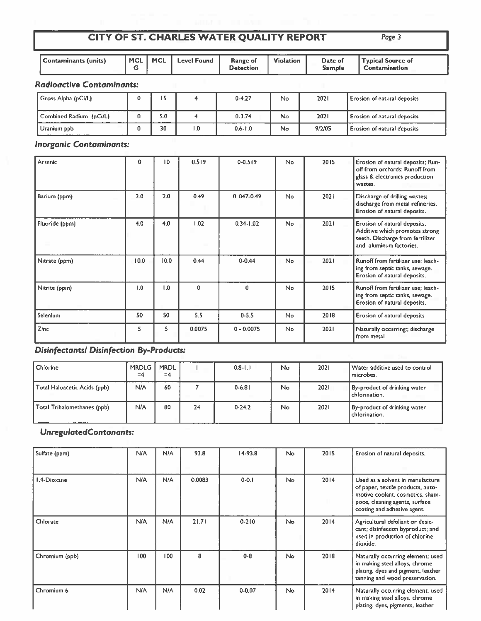# CITY OF ST. CHARLES WATER QUALITY REPORT

|--|--|

|                      |         |             |                              | ------           |                          |                                     |
|----------------------|---------|-------------|------------------------------|------------------|--------------------------|-------------------------------------|
| Contaminants (units) | MCL MCL | Level Found | <b>Range of</b><br>Detection | <b>Violation</b> | Date of<br><b>Sample</b> | 'Typical Source of<br>Contamination |

### **Radioactive Contaminants:**

| Gross Alpha (pCi/L)     |     |     | $0 - 4.27$  | No | 2021   | Erosion of natural deposits        |
|-------------------------|-----|-----|-------------|----|--------|------------------------------------|
| Combined Radium (pCi/L) | 5.0 |     | $0 - 3.74$  | No | 2021   | <b>Erosion of natural deposits</b> |
| Uranium ppb             | 30  | I.O | $0.6 - 1.0$ | No | 9/2/05 | Erosion of natural deposits        |

## **Inorganic Contaminants:**

| Arsenic        | $\mathbf o$ | 10   | 0.519        | $0 - 0.519$    | <b>No</b>      | 2015 | Erosion of natural deposits; Run-<br>off from orchards; Runoff from<br>glass & electronics production<br>wastes.              |
|----------------|-------------|------|--------------|----------------|----------------|------|-------------------------------------------------------------------------------------------------------------------------------|
| Barium (ppm)   | 2.0         | 2.0  | 0.49         | $0.047 - 0.49$ | No             | 2021 | Discharge of drilling wastes;<br>discharge from metal refineries.<br>Erosion of natural deposits.                             |
| Fluoride (ppm) | 4.0         | 4.0  | 1.02         | $0.34 - 1.02$  | <b>No</b>      | 2021 | Erosion of natural deposits.<br>Additive which promotes strong<br>teeth. Discharge from fertilizer<br>and aluminum factories. |
| Nitrate (ppm)  | 10.0        | 10.0 | 0.44         | $0 - 0.44$     | No             | 2021 | Runoff from fertilizer use; leach-<br>ing from septic tanks, sewage.<br>Erosion of natural deposits.                          |
| Nitrite (ppm)  | 1.0         | 1.0  | $\mathbf{0}$ | $\mathbf{0}$   | N <sub>o</sub> | 2015 | Runoff from fertilizer use; leach-<br>ing from septic tanks, sewage.<br>Erosion of natural deposits.                          |
| Selenium       | 50          | 50   | 5.5          | $0 - 5.5$      | No.            | 2018 | Erosion of natural deposits                                                                                                   |
| Zinc           | 5           | 5    | 0.0075       | $0 - 0.0075$   | <b>No</b>      | 2021 | Naturally occurring;; discharge<br>from metal                                                                                 |

## Disinfectants/ Disinfection By-Products:

| Chlorine                     | <b>MRDLG</b><br>$= 4$ | <b>MRDL</b><br>$=4$ |    | $0.8 - 1.1$ | No. | 2021 | Water additive used to control<br>microbes.   |
|------------------------------|-----------------------|---------------------|----|-------------|-----|------|-----------------------------------------------|
| Total Haloacetic Acids (ppb) | N/A                   | 60                  |    | 0.6.81      | No  | 2021 | By-product of drinking water<br>chlorination. |
| Total Trihalomethanes (ppb)  | N/A                   | 80                  | 24 | $0-24.2$    | No  | 2021 | By-product of drinking water<br>chlorination. |

### UnregulatedContanants:

| Sulfate (ppm)  | <b>N/A</b> | N/A | 93.8   | $14-93.8$  | No.       | 2015 | Erosion of natural deposits.                                                                                                                                               |
|----------------|------------|-----|--------|------------|-----------|------|----------------------------------------------------------------------------------------------------------------------------------------------------------------------------|
| 1.4-Dioxane    | <b>N/A</b> | N/A | 0.0083 | $0 - 0.1$  | <b>No</b> | 2014 | Used as a solvent in manufacture<br>of paper, textile products, auto-<br>motive coolant, cosmetics, sham-<br>poos, cleaning agents, surface<br>coating and adhesive agent. |
| Chlorate       | <b>N/A</b> | N/A | 21.71  | $0 - 210$  | <b>No</b> | 2014 | Agricultural defoliant or desic-<br>cant; disinfection byproduct; and<br>used in production of chlorine<br>dioxide.                                                        |
| Chromium (ppb) | 100        | 100 | 8      | $0 - 8$    | No        | 2018 | Naturally occurring element; used<br>in making steel alloys, chrome<br>plating, dyes and pigment, leather<br>tanning and wood preservation.                                |
| Chromium 6     | <b>N/A</b> | N/A | 0.02   | $0 - 0.07$ | No        | 2014 | Naturally occurring element, used<br>in making steel alloys, chrome<br>plating, dyes, pigments, leather                                                                    |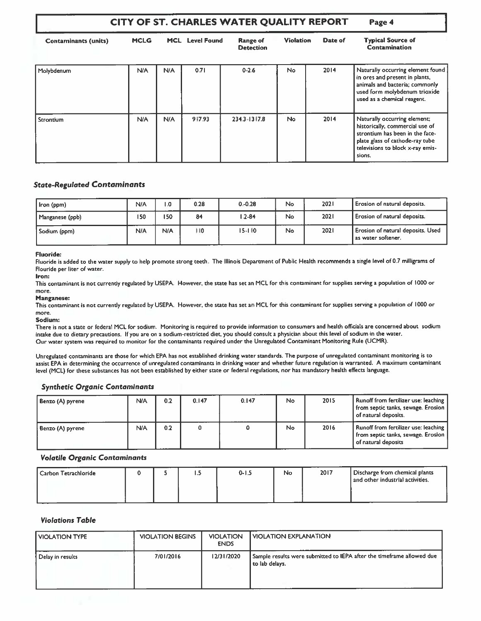| CITY OF ST. CHARLES WATER QUALITY REPORT  | Page 4                                |     |                              |                  |           |                                           |                                                                                                                                                                                     |
|-------------------------------------------|---------------------------------------|-----|------------------------------|------------------|-----------|-------------------------------------------|-------------------------------------------------------------------------------------------------------------------------------------------------------------------------------------|
| <b>Contaminants (units)</b><br>Molybdenum | <b>MCLG</b><br><b>MCL</b> Level Found |     | Range of<br><b>Detection</b> | <b>Violation</b> | Date of   | <b>Typical Source of</b><br>Contamination |                                                                                                                                                                                     |
|                                           | N/A                                   | N/A | 0.71                         | $0 - 2.6$        | No        | 2014                                      | Naturally occurring element found<br>in ores and present in plants,<br>animals and bacteria; commonly<br>used form molybdenum trioxide<br>used as a chemical reagent.               |
| Strontium                                 | <b>N/A</b>                            | N/A | 917.93                       | 234.3-1317.8     | <b>No</b> | 2014                                      | Naturally occurring element;<br>historically, commercial use of<br>strontium has been in the face-<br>plate glass of cathode-ray tube<br>televisions to block x-ray emis-<br>sions. |

### **State-Regulated Contaminants**

| Iron (ppm)      | N/A | $\overline{0}$ . | 0.28 | $0 - 0.28$ | <b>No</b> | 2021 | Erosion of natural deposits.                            |
|-----------------|-----|------------------|------|------------|-----------|------|---------------------------------------------------------|
| Manganese (ppb) | 150 | 150              | 84   | $1.2 - 84$ | No        | 2021 | Erosion of natural deposits.                            |
| Sodium (ppm)    | N/A | N/A              | ۱۱0  | $15 - 110$ | No        | 2021 | Erosion of natural deposits. Used<br>as water softener. |

#### **Fluoride:**

Fluoride is added to the water supply to help promote strong teeth. The Illinois Department of Public Health recommends a single level of 0.7 milligrams of Flouride per liter of water.

#### Iron:

This contaminant is not currently regulated by USEPA. However, the state has set an MCL for this contaminant for supplies serving a population of 1000 or more.

#### **Manganese:**

This contaminant is not currently regulated by USEPA. However, the state has set an MCL for this contaminant for supplies serving a population of 1000 or more.

Sodium:

There is not a state or federal MCL for sodium. Monitoring is required to provide information to consumers and health officials are concerned about sodium intake due to dietary precautions. If you are on a sodium-restricted diet, you should consult a physician about this level of sodium in the water. Our water system was required to monitor for the contaminants required under the Unregulated Contaminant Monitoring Rule (UCMR).

Unregulated contaminants are those for which EPA has not established drinking water standards. The purpose of unregulated contaminant monitoring is to assist EPA in determining the occurrence of unregulated contaminants in drinking water and whether future regulation is warranted. A maximum contaminant level (MCL) for these substances has not been established by either state or federal regulations, nor has mandatory health effects language.

#### **Synthetic Organic Contaminants**

| Benzo (A) pyrene | N/A | 0.2 | 0.147 | 0.147 | No  | 2015 | Runoff from fertilizer use: leaching<br>from septic tanks, sewage. Erosion  <br>of natural deposits. |
|------------------|-----|-----|-------|-------|-----|------|------------------------------------------------------------------------------------------------------|
| Benzo (A) pyrene | N/A | 0.2 |       |       | No. | 2016 | Runoff from fertilizer use: leaching<br>from septic tanks, sewage. Erosion  <br>of natural deposits  |

#### **Volatile Organic Contaminants**

| <sup>1</sup> Carbon Tetrachloride |  |  | -----<br>د. ا | $0 - 1.5$ | No | 2017 | Discharge from chemical plants<br>and other industrial activities. |
|-----------------------------------|--|--|---------------|-----------|----|------|--------------------------------------------------------------------|
|-----------------------------------|--|--|---------------|-----------|----|------|--------------------------------------------------------------------|

#### **Violations Table**

| <b>VIOLATION TYPE</b> | <b>VIOLATION BEGINS</b> | <b>VIOLATION</b><br><b>ENDS</b> | I VIOLATION EXPLANATION                                                                 |
|-----------------------|-------------------------|---------------------------------|-----------------------------------------------------------------------------------------|
| Delay in results      | 7/01/2016               | 12/31/2020                      | Sample results were submitted to IEPA after the timeframe allowed due<br>to lab delays. |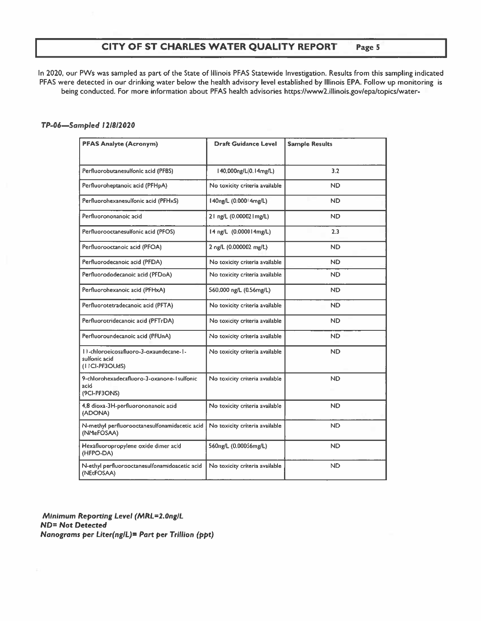#### CITY OF ST CHARLES WATER QUALITY REPORT Page 5

In 2020, our PWs was sampled as part of the State of Illinois PFAS Statewide Investigation. Results from this sampling indicated PFAS were detected in our drinking water below the health advisory level established by Illinois EPA. Follow up monitoring is being conducted. For more information about PFAS health advisories https://www2.illinois.gov/epa/topics/water-

#### TP-06-Sampled 12/8/2020

| <b>PFAS Analyte (Acronym)</b>                                              | <b>Draft Guidance Level</b>    | <b>Sample Results</b> |
|----------------------------------------------------------------------------|--------------------------------|-----------------------|
| Perfluorobutanesulfonic acid (PFBS)                                        | 140,000ng/L(0.14mg/L)          | 3.2                   |
| Perfluoroheptanoic acid (PFHpA)                                            | No toxicity criteria available | <b>ND</b>             |
| Perfluorohexanesulfonic acid (PFHxS)                                       | 140ng/L (0.00014mg/L)          | ND.                   |
| Perfluorononanoic acid                                                     | 21 ng/L (0.000021 mg/L)        | <b>ND</b>             |
| Perfluorooctanesulfonic acid (PFOS)                                        | 14 ng/L (0.000014mg/L)         | 2.3                   |
| Perfluorooctanoic acid (PFOA)                                              | 2 ng/L (0.000002 mg/L)         | <b>ND</b>             |
| Perfluorodecanoic acid (PFDA)                                              | No toxicity criteria available | <b>ND</b>             |
| Perfluorododecanoic acid (PFDoA)                                           | No toxicity criteria available | <b>ND</b>             |
| Perfluorohexanoic acid (PFHxA)                                             | 560,000 ng/L (0.56mg/L)        | <b>ND</b>             |
| Perfluorotetradecanoic acid (PFTA)                                         | No toxicity criteria available | <b>ND</b>             |
| Perfluorotridecanoic acid (PFTrDA)                                         | No toxicity criteria available | <b>ND</b>             |
| Perfluoroundecanoic acid (PFUnA)                                           | No toxicity criteria available | ND.                   |
| 11-chloroeicosafluoro-3-oxaundecane-1-<br>sulfonic acid<br>(I ICI-PF3OUdS) | No toxicity criteria available | <b>ND</b>             |
| 9-chlorohexadecafluoro-3-oxanone-1 sulfonic<br>acid<br>(9CI-PF3ONS)        | No toxicity criteria available | <b>ND</b>             |
| 4,8 dioxa-3H-perfluorononanoic acid<br>(ADONA)                             | No toxicity criteria available | <b>ND</b>             |
| N-methyl perfluorooctanesulfonamidacetic acid<br>(NMeFOSAA)                | No toxicity criteria available | ND.                   |
| Hexafluoropropylene oxide dimer acid<br>(HFPO-DA)                          | 560ng/L (0.00056mg/L)          | ND.                   |
| N-ethyl perfluorooctanesulfonamidoacetic acid<br>(NEtFOSAA)                | No toxicity criteria available | <b>ND</b>             |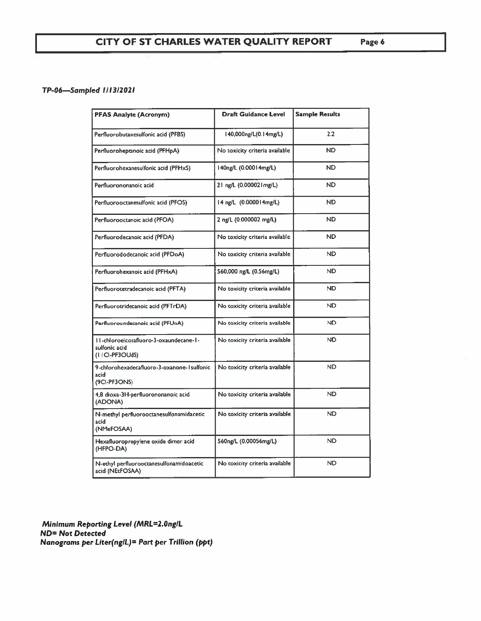### TP-06-Sampled 1/13/2021

| <b>PFAS Analyte (Acronym)</b>                                              | <b>Draft Guidance Level</b>    | <b>Sample Results</b> |
|----------------------------------------------------------------------------|--------------------------------|-----------------------|
| Perfluorobutanesulfonic acid (PFBS)                                        | 140,000ng/L(0.14mg/L)          | 2.2                   |
| Perfluoroheptanoic acid (PFHpA)                                            | No toxicity criteria available | <b>ND</b>             |
| Perfluorohexanesulfonic acid (PFHxS)                                       | 140ng/L (0.00014mg/L)          | <b>ND</b>             |
| Perfluorononanoic acid                                                     | 21 ng/L (0.000021 mg/L)        | <b>ND</b>             |
| Perfluorooctanesulfonic acid (PFOS)                                        | 14 ng/L (0.000014 mg/L)        | <b>ND</b>             |
| Perfluorooctanoic acid (PFOA)                                              | 2 ng/L (0.000002 mg/L)         | <b>ND</b>             |
| Perfluorodecanoic acid (PFDA)                                              | No toxicity criteria available | <b>ND</b>             |
| Perfluorododecanoic acid (PFDoA)                                           | No toxicity criteria available | ND.                   |
| Perfluorohexanoic acid (PFHxA)                                             | 560,000 ng/L (0.56mg/L)        | <b>ND</b>             |
| Perfluorotetradecanoic acid (PFTA)                                         | No toxicity criteria available | <b>ND</b>             |
| Perfluorotridecanoic acid (PFTrDA)                                         | No toxicity criteria available | ND.                   |
| Perfluoroundecanoic acid (PFUnA)                                           | No toxicity criteria available | <b>ND</b>             |
| II-chloroeicosafluoro-3-oxaundecane-1-<br>sulfonic acid<br>(I ICI-PF3OUdS) | No toxicity criteria available | <b>ND</b>             |
| 9-chlorohexadecafluoro-3-oxanone-1 sulfonic<br>acid<br>(9CI-PF3ONS)        | No toxicity criteria available | ND.                   |
| 4,8 dioxa-3H-perfluorononanoic acid<br>(ADONA)                             | No toxicity criteria available | ND.                   |
| N-methyl perfluorooctanesulfonamidacetic<br>acid<br>(NMeFOSAA)             | No toxicity criteria available | ND.                   |
| Hexafluoropropylene oxide dimer acid<br>(HFPO-DA)                          | 560ng/L (0.00056mg/L)          | <b>ND</b>             |
| N-ethyl perfluorooctanesulfonamidoacetic<br>acid (NEtFOSAA)                | No toxicity criteria available | ND.                   |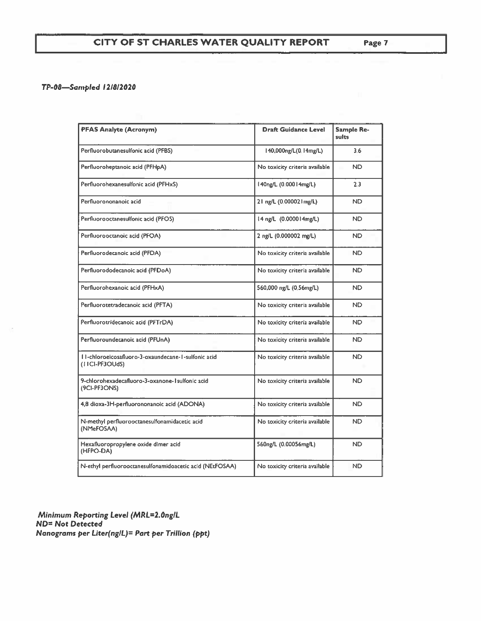### TP-08-Sampled 12/8/2020

| <b>PFAS Analyte (Acronym)</b>                                          | <b>Draft Guidance Level</b>    | Sample Re-<br>sults |
|------------------------------------------------------------------------|--------------------------------|---------------------|
| Perfluorobutanesulfonic acid (PFBS)                                    | 140,000ng/L(0,14mg/L)          | 3.6                 |
| Perfluoroheptanoic acid (PFHpA)                                        | No toxicity criteria available | ND.                 |
| Perfluorohexanesulfonic acid (PFHxS)                                   | 140ng/L (0.00014mg/L)          | 23                  |
| Perfluorononanoic acid                                                 | 21 ng/L (0.000021 mg/L)        | ND.                 |
| Perfluorooctanesulfonic acid (PFOS)                                    | 14 ng/L (0.000014mg/L)         | ND.                 |
| Perfluorooctanoic acid (PFOA)                                          | 2 ng/L (0.000002 mg/L)         | ND.                 |
| Perfluorodecanoic acid (PFDA)                                          | No toxicity criteria available | ND.                 |
| Perfluorododecanoic acid (PFDoA)                                       | No toxicity criteria available | ND.                 |
| Perfluorohexanoic acid (PFHxA)                                         | 560,000 ng/L (0.56mg/L)        | ND.                 |
| Perfluorotetradecanoic acid (PFTA)                                     | No toxicity criteria available | <b>ND</b>           |
| Perfluorotridecanoic acid (PFTrDA)                                     | No toxicity criteria available | ND.                 |
| Perfluoroundecanoic acid (PFUnA)                                       | No toxicity criteria available | ND.                 |
| I I-chloroeicosafluoro-3-oxaundecane-1-sulfonic acid<br>(FICI-PF3OUdS) | No toxicity criteria available | ND.                 |
| 9-chlorohexadecafluoro-3-oxanone-1 sulfonic acid<br>(9CI-PF3ONS)       | No toxicity criteria available | ND.                 |
| 4,8 dioxa-3H-perfluorononanoic acid (ADONA)                            | No toxicity criteria available | ND.                 |
| N-methyl perfluorooctanesulfonamidacetic acid<br>(NMeFOSAA)            | No toxicity criteria available | ND.                 |
| Hexafluoropropylene oxide dimer acid<br>(HFPO-DA)                      | 560ng/L (0.00056mg/L)          | ND.                 |
| N-ethyl perfluorooctanesulfonamidoacetic acid (NEtFOSAA)               | No toxicity criteria available | ND.                 |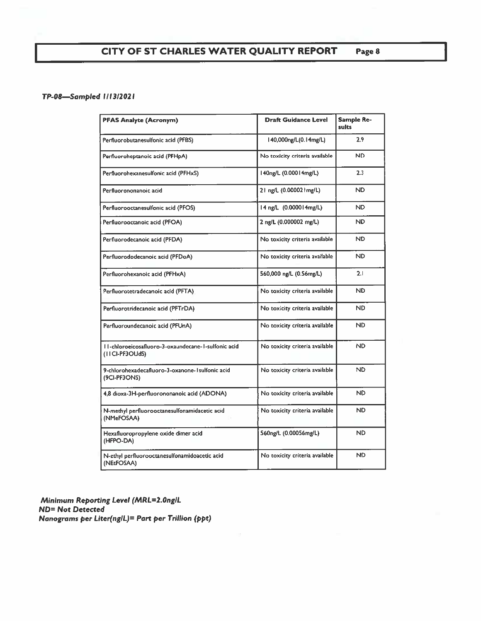#### CITY OF ST CHARLES WATER QUALITY REPORT Page 8

### TP-08-Sampled 1/13/2021

| <b>PFAS Analyte (Acronym)</b>                                         | <b>Draft Guidance Level</b>    | <b>Sample Re-</b><br>sults |
|-----------------------------------------------------------------------|--------------------------------|----------------------------|
| Perfluorobutanesulfonic acid (PFBS)                                   | 140,000ng/L(0.14mg/L)          | 2.9                        |
| Perfluoroheptanoic acid (PFHpA)                                       | No toxicity criteria available | ND.                        |
| Perfluorohexanesulfonic acid (PFHxS)                                  | 140ng/L (0.00014mg/L)          | 2.3                        |
| Perfluorononanoic acid                                                | 21 ng/L (0.000021 mg/L)        | <b>ND</b>                  |
| Perfluorooctanesulfonic acid (PFOS)                                   | 14 ng/L (0.000014 mg/L)        | ND.                        |
| Perfluorooctanoic acid (PFOA)                                         | 2 ng/L (0.000002 mg/L)         | <b>ND</b>                  |
| Perfluorodecanoic acid (PFDA)                                         | No toxicity criteria available | <b>ND</b>                  |
| Perfluorododecanoic acid (PFDoA)                                      | No toxicity criteria available | <b>ND</b>                  |
| Perfluorohexanoic acid (PFHxA)                                        | 560,000 ng/L (0.56mg/L)        | 2.1                        |
| Perfluorotetradecanoic acid (PFTA)                                    | No toxicity criteria available | <b>ND</b>                  |
| Perfluorotridecanoic acid (PFTrDA)                                    | No toxicity criteria available | <b>ND</b>                  |
| Perfluoroundecanoic acid (PFUnA)                                      | No toxicity criteria available | <b>ND</b>                  |
| II-chloroeicosafluoro-3-oxaundecane-1-sulfonic acid<br>(IICI-PF3OUdS) | No toxicity criteria available | <b>ND</b>                  |
| 9-chlorohexadecafluoro-3-oxanone-1 sulfonic acid<br>(9CI-PF3ONS)      | No toxicity criteria available | <b>ND</b>                  |
| 4,8 dioxa-3H-perfluorononanoic acid (ADONA)                           | No toxicity criteria available | ND.                        |
| N-methyl perfluorooctanesulfonamidacetic acid<br>(NMeFOSAA)           | No toxicity criteria available | <b>ND</b>                  |
| Hexafluoropropylene oxide dimer acid<br>(HFPO-DA)                     | 560ng/L (0.00056mg/L)          | ND.                        |
| N-ethyl perfluorooctanesulfonamidoacetic acid<br>(NEtFOSAA)           | No toxicity criteria available | <b>ND</b>                  |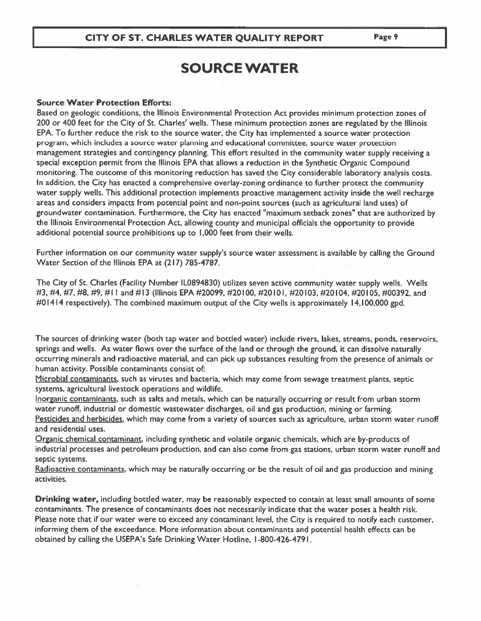### CITY OF ST. CHARLES WATER QUALITY REPORT

# **SOURCE WATER**

#### **Source Water Protection Efforts:**

Based on geologic conditions, the Illinois Environmental Protection Act provides minimum protection zones of 200 or 400 feet for the City of St. Charles' wells. These minimum protection zones are regulated by the Illinois EPA. To further reduce the risk to the source water, the City has implemented a source water protection program, which includes a source water planning and educational committee, source water protection management strategies and contingency planning. This effort resulted in the community water supply receiving a special exception permit from the Illinois EPA that allows a reduction in the Synthetic Organic Compound monitoring. The outcome of this monitoring reduction has saved the City considerable laboratory analysis costs. In addition, the City has enacted a comprehensive overlay-zoning ordinance to further protect the community water supply wells. This additional protection implements proactive management activity inside the well recharge areas and considers impacts from potential point and non-point sources (such as agricultural land uses) of groundwater contamination. Furthermore, the City has enacted "maximum setback zones" that are authorized by the Illinois Environmental Protection Act, allowing county and municipal officials the opportunity to provide additional potential source prohibitions up to 1,000 feet from their wells.

Further information on our community water supply's source water assessment is available by calling the Ground Water Section of the Illinois EPA at (217) 785-4787.

The City of St. Charles (Facility Number IL0894830) utilizes seven active community water supply wells. Wells #3, #4, #7, #8, #9, #11 and #13 (Illinois EPA #20099, #20100, #20101, #20103, #20104, #20105, #00392, and #01414 respectively). The combined maximum output of the City wells is approximately 14,100,000 gpd.

The sources of drinking water (both tap water and bottled water) include rivers, lakes, streams, ponds, reservoirs, springs and wells. As water flows over the surface of the land or through the ground, it can dissolve naturally occurring minerals and radioactive material, and can pick up substances resulting from the presence of animals or human activity. Possible contaminants consist of:

Microbial contaminants, such as viruses and bacteria, which may come from sewage treatment plants, septic systems, agricultural livestock operations and wildlife.

Inorganic contaminants, such as salts and metals, which can be naturally occurring or result from urban storm water runoff, industrial or domestic wastewater discharges, oil and gas production, mining or farming. Pesticides and herbicides, which may come from a variety of sources such as agriculture, urban storm water runoff and residential uses.

Organic chemical contaminant, including synthetic and volatile organic chemicals, which are by-products of industrial processes and petroleum production, and can also come from gas stations, urban storm water runoff and septic systems.

Radioactive contaminants, which may be naturally occurring or be the result of oil and gas production and mining activities.

Drinking water, including bottled water, may be reasonably expected to contain at least small amounts of some contaminants. The presence of contaminants does not necessarily indicate that the water poses a health risk. Please note that if our water were to exceed any contaminant level, the City is required to notify each customer, informing them of the exceedance. More information about contaminants and potential health effects can be obtained by calling the USEPA's Safe Drinking Water Hotline, 1-800-426-4791.